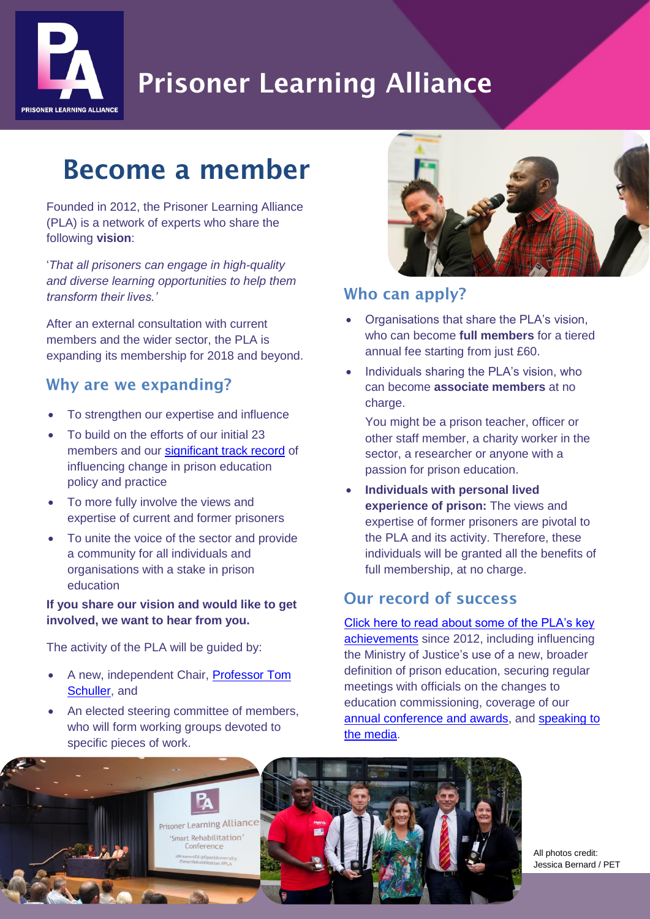

# **Prisoner Learning Alliance**

## **Become a member**

Founded in 2012, the Prisoner Learning Alliance (PLA) is a network of experts who share the following **vision**:

'*That all prisoners can engage in high-quality and diverse learning opportunities to help them transform their lives.'*

After an external consultation with current members and the wider sector, the PLA is expanding its membership for 2018 and beyond.

### Why are we expanding?

- To strengthen our expertise and influence
- To build on the efforts of our initial 23 members and our [significant track record](http://www.prisonerseducation.org.uk/news/top-5-the-plas-most-significant-achievments) of influencing change in prison education policy and practice
- To more fully involve the views and expertise of current and former prisoners
- To unite the voice of the sector and provide a community for all individuals and organisations with a stake in prison education

#### **If you share our vision and would like to get involved, we want to hear from you.**

The activity of the PLA will be guided by:

- A new, independent Chair, [Professor](http://www.prisonerseducation.org.uk/news/prisoner-learning-alliance-appoints-new-chair-professor-tom-schuller) Tom [Schuller,](http://www.prisonerseducation.org.uk/news/prisoner-learning-alliance-appoints-new-chair-professor-tom-schuller) and
- An elected steering committee of members, who will form working groups devoted to specific pieces of work.



#### Who can apply?

- Organisations that share the PLA's vision, who can become **full members** for a tiered annual fee starting from just £60.
- Individuals sharing the PLA's vision, who can become **associate members** at no charge.

You might be a prison teacher, officer or other staff member, a charity worker in the sector, a researcher or anyone with a passion for prison education.

 **Individuals with personal lived experience of prison:** The views and expertise of former prisoners are pivotal to the PLA and its activity. Therefore, these individuals will be granted all the benefits of full membership, at no charge.

## Our record of success

[Click here to read about some of the PLA's key](http://www.prisonerseducation.org.uk/news/top-5-the-plas-most-significant-achievments)  [achievements](http://www.prisonerseducation.org.uk/news/top-5-the-plas-most-significant-achievments) since 2012, including influencing the Ministry of Justice's use of a new, broader definition of prison education, securing regular meetings with officials on the changes to education commissioning, coverage of our [annual conference and awards,](http://www.prisonerseducation.org.uk/conferences-) and [speaking to](https://www.theguardian.com/society/2018/jan/26/prison-careers-service-cuts-criticised-by-charities)  [the media.](https://www.theguardian.com/society/2018/jan/26/prison-careers-service-cuts-criticised-by-charities)



All photos credit: Jessica Bernard / PET